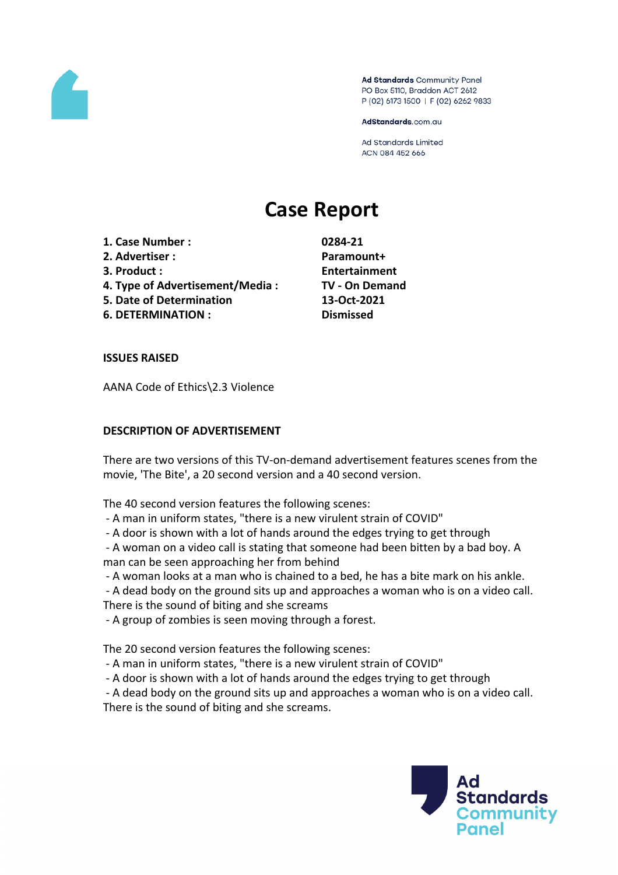

Ad Standards Community Panel PO Box 5110, Braddon ACT 2612 P (02) 6173 1500 | F (02) 6262 9833

AdStandards.com.au

**Ad Standards Limited** ACN 084 452 666

# **Case Report**

- **1. Case Number : 0284-21**
- **2. Advertiser : Paramount+**
- 
- **4. Type of Advertisement/Media : TV - On Demand**
- **5. Date of Determination 13-Oct-2021**
- **6. DETERMINATION : Dismissed**

**3. Product : Entertainment**

# **ISSUES RAISED**

AANA Code of Ethics\2.3 Violence

# **DESCRIPTION OF ADVERTISEMENT**

There are two versions of this TV-on-demand advertisement features scenes from the movie, 'The Bite', a 20 second version and a 40 second version.

The 40 second version features the following scenes:

- A man in uniform states, "there is a new virulent strain of COVID"
- A door is shown with a lot of hands around the edges trying to get through

- A woman on a video call is stating that someone had been bitten by a bad boy. A man can be seen approaching her from behind

- A woman looks at a man who is chained to a bed, he has a bite mark on his ankle.

- A dead body on the ground sits up and approaches a woman who is on a video call. There is the sound of biting and she screams

- A group of zombies is seen moving through a forest.

The 20 second version features the following scenes:

- A man in uniform states, "there is a new virulent strain of COVID"
- A door is shown with a lot of hands around the edges trying to get through

- A dead body on the ground sits up and approaches a woman who is on a video call. There is the sound of biting and she screams.

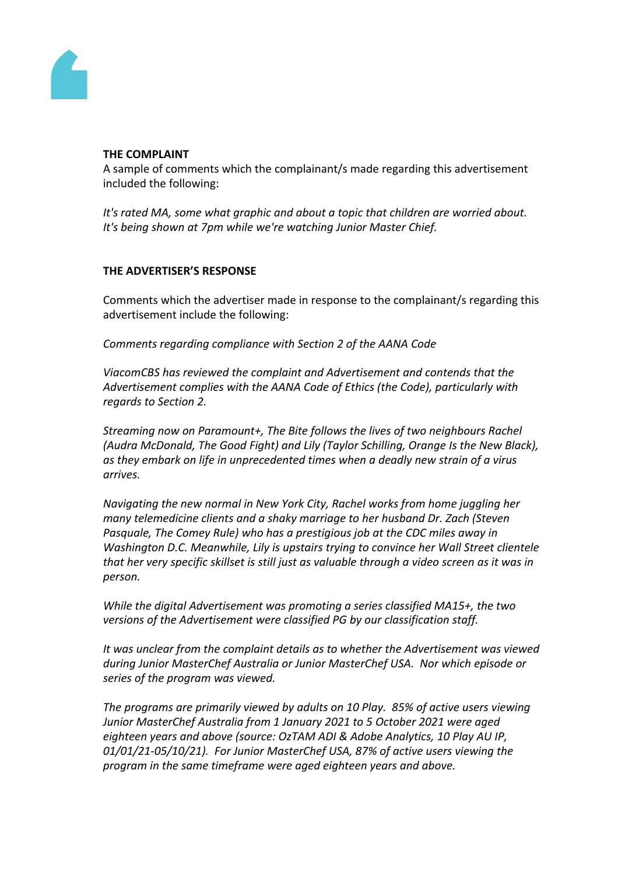

#### **THE COMPLAINT**

A sample of comments which the complainant/s made regarding this advertisement included the following:

*It's rated MA, some what graphic and about a topic that children are worried about. It's being shown at 7pm while we're watching Junior Master Chief.*

# **THE ADVERTISER'S RESPONSE**

Comments which the advertiser made in response to the complainant/s regarding this advertisement include the following:

*Comments regarding compliance with Section 2 of the AANA Code*

*ViacomCBS has reviewed the complaint and Advertisement and contends that the Advertisement complies with the AANA Code of Ethics (the Code), particularly with regards to Section 2.*

*Streaming now on Paramount+, The Bite follows the lives of two neighbours Rachel (Audra McDonald, The Good Fight) and Lily (Taylor Schilling, Orange Is the New Black), as they embark on life in unprecedented times when a deadly new strain of a virus arrives.*

*Navigating the new normal in New York City, Rachel works from home juggling her many telemedicine clients and a shaky marriage to her husband Dr. Zach (Steven Pasquale, The Comey Rule) who has a prestigious job at the CDC miles away in Washington D.C. Meanwhile, Lily is upstairs trying to convince her Wall Street clientele that her very specific skillset is still just as valuable through a video screen as it was in person.* 

*While the digital Advertisement was promoting a series classified MA15+, the two versions of the Advertisement were classified PG by our classification staff.* 

*It was unclear from the complaint details as to whether the Advertisement was viewed during Junior MasterChef Australia or Junior MasterChef USA. Nor which episode or series of the program was viewed.*

*The programs are primarily viewed by adults on 10 Play. 85% of active users viewing Junior MasterChef Australia from 1 January 2021 to 5 October 2021 were aged eighteen years and above (source: OzTAM ADI & Adobe Analytics, 10 Play AU IP, 01/01/21-05/10/21). For Junior MasterChef USA, 87% of active users viewing the program in the same timeframe were aged eighteen years and above.*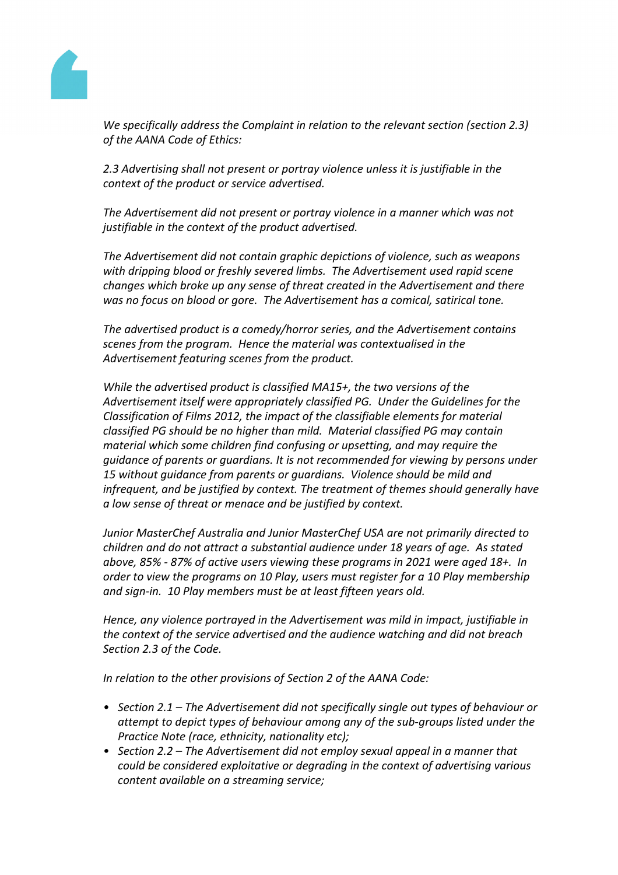

*We specifically address the Complaint in relation to the relevant section (section 2.3) of the AANA Code of Ethics:*

*2.3 Advertising shall not present or portray violence unless it is justifiable in the context of the product or service advertised.*

*The Advertisement did not present or portray violence in a manner which was not justifiable in the context of the product advertised.*

*The Advertisement did not contain graphic depictions of violence, such as weapons with dripping blood or freshly severed limbs. The Advertisement used rapid scene changes which broke up any sense of threat created in the Advertisement and there was no focus on blood or gore. The Advertisement has a comical, satirical tone.* 

*The advertised product is a comedy/horror series, and the Advertisement contains scenes from the program. Hence the material was contextualised in the Advertisement featuring scenes from the product.* 

*While the advertised product is classified MA15+, the two versions of the Advertisement itself were appropriately classified PG. Under the Guidelines for the Classification of Films 2012, the impact of the classifiable elements for material classified PG should be no higher than mild. Material classified PG may contain material which some children find confusing or upsetting, and may require the guidance of parents or guardians. It is not recommended for viewing by persons under 15 without guidance from parents or guardians. Violence should be mild and infrequent, and be justified by context. The treatment of themes should generally have a low sense of threat or menace and be justified by context.*

*Junior MasterChef Australia and Junior MasterChef USA are not primarily directed to children and do not attract a substantial audience under 18 years of age. As stated above, 85% - 87% of active users viewing these programs in 2021 were aged 18+. In order to view the programs on 10 Play, users must register for a 10 Play membership and sign-in. 10 Play members must be at least fifteen years old.*

*Hence, any violence portrayed in the Advertisement was mild in impact, justifiable in the context of the service advertised and the audience watching and did not breach Section 2.3 of the Code.* 

*In relation to the other provisions of Section 2 of the AANA Code:*

- *• Section 2.1 – The Advertisement did not specifically single out types of behaviour or attempt to depict types of behaviour among any of the sub-groups listed under the Practice Note (race, ethnicity, nationality etc);*
- *• Section 2.2 – The Advertisement did not employ sexual appeal in a manner that could be considered exploitative or degrading in the context of advertising various content available on a streaming service;*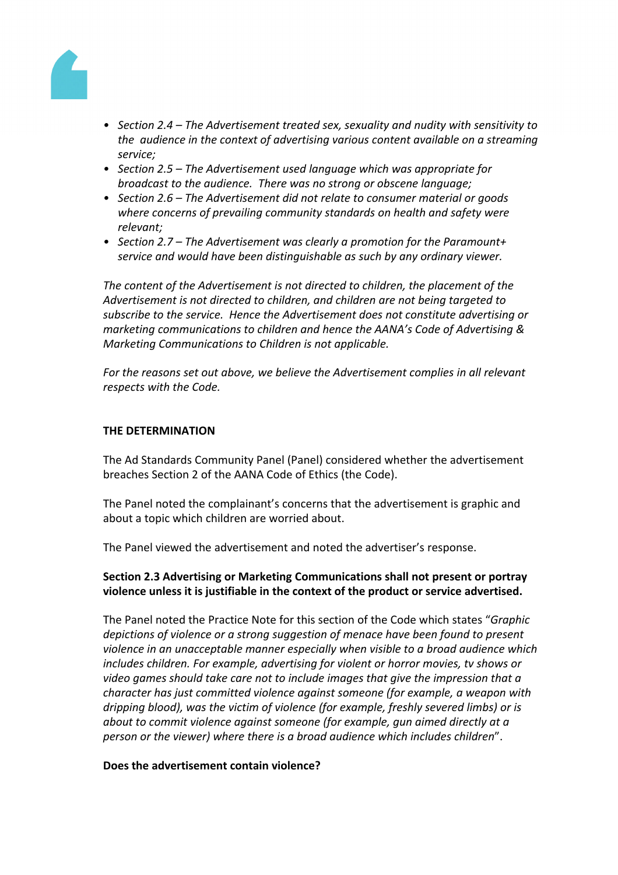

- *• Section 2.4 – The Advertisement treated sex, sexuality and nudity with sensitivity to the audience in the context of advertising various content available on a streaming service;*
- *• Section 2.5 – The Advertisement used language which was appropriate for broadcast to the audience. There was no strong or obscene language;*
- *• Section 2.6 – The Advertisement did not relate to consumer material or goods where concerns of prevailing community standards on health and safety were relevant;*
- *• Section 2.7 – The Advertisement was clearly a promotion for the Paramount+ service and would have been distinguishable as such by any ordinary viewer.*

*The content of the Advertisement is not directed to children, the placement of the Advertisement is not directed to children, and children are not being targeted to subscribe to the service. Hence the Advertisement does not constitute advertising or marketing communications to children and hence the AANA's Code of Advertising & Marketing Communications to Children is not applicable.*

*For the reasons set out above, we believe the Advertisement complies in all relevant respects with the Code.*

### **THE DETERMINATION**

The Ad Standards Community Panel (Panel) considered whether the advertisement breaches Section 2 of the AANA Code of Ethics (the Code).

The Panel noted the complainant's concerns that the advertisement is graphic and about a topic which children are worried about.

The Panel viewed the advertisement and noted the advertiser's response.

# **Section 2.3 Advertising or Marketing Communications shall not present or portray violence unless it is justifiable in the context of the product or service advertised.**

The Panel noted the Practice Note for this section of the Code which states "*Graphic depictions of violence or a strong suggestion of menace have been found to present violence in an unacceptable manner especially when visible to a broad audience which includes children. For example, advertising for violent or horror movies, tv shows or video games should take care not to include images that give the impression that a character has just committed violence against someone (for example, a weapon with dripping blood), was the victim of violence (for example, freshly severed limbs) or is about to commit violence against someone (for example, gun aimed directly at a person or the viewer) where there is a broad audience which includes children*".

#### **Does the advertisement contain violence?**